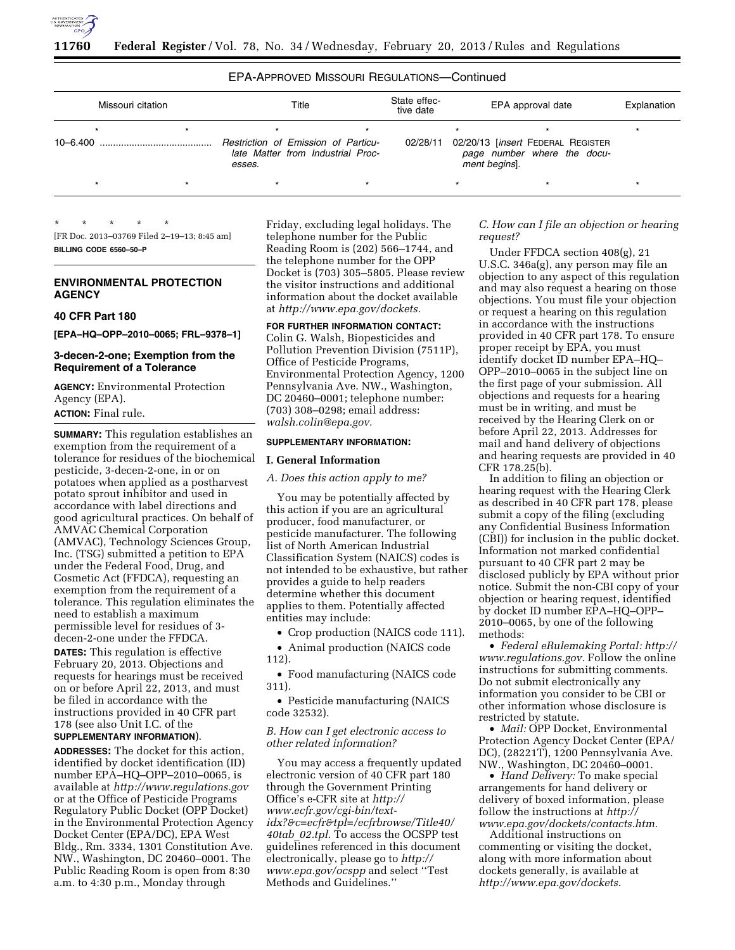

# EPA-APPROVED MISSOURI REGULATIONS—Continued

|          | Missouri citation | Title |                                                      |                                   | State effec-<br>tive date | EPA approval date |  | Explanation                                                                       |  |
|----------|-------------------|-------|------------------------------------------------------|-----------------------------------|---------------------------|-------------------|--|-----------------------------------------------------------------------------------|--|
| 10-6.400 |                   |       | <b>Restriction of Emission of Particu-</b><br>esses. | late Matter from Industrial Proc- |                           | 02/28/11          |  | 02/20/13 [insert FEDERAL REGISTER<br>page number where the docu-<br>ment begins]. |  |
|          |                   |       | *                                                    |                                   |                           |                   |  |                                                                                   |  |

\* \* \* \* \* [FR Doc. 2013–03769 Filed 2–19–13; 8:45 am] **BILLING CODE 6560–50–P** 

# **ENVIRONMENTAL PROTECTION AGENCY**

# **40 CFR Part 180**

**[EPA–HQ–OPP–2010–0065; FRL–9378–1]** 

# **3-decen-2-one; Exemption from the Requirement of a Tolerance**

**AGENCY:** Environmental Protection Agency (EPA). **ACTION:** Final rule.

**SUMMARY:** This regulation establishes an exemption from the requirement of a tolerance for residues of the biochemical pesticide, 3-decen-2-one, in or on potatoes when applied as a postharvest potato sprout inhibitor and used in accordance with label directions and good agricultural practices. On behalf of AMVAC Chemical Corporation (AMVAC), Technology Sciences Group, Inc. (TSG) submitted a petition to EPA under the Federal Food, Drug, and Cosmetic Act (FFDCA), requesting an exemption from the requirement of a tolerance. This regulation eliminates the need to establish a maximum permissible level for residues of 3 decen-2-one under the FFDCA.

**DATES:** This regulation is effective February 20, 2013. Objections and requests for hearings must be received on or before April 22, 2013, and must be filed in accordance with the instructions provided in 40 CFR part 178 (see also Unit I.C. of the

# **SUPPLEMENTARY INFORMATION**).

**ADDRESSES:** The docket for this action, identified by docket identification (ID) number EPA–HQ–OPP–2010–0065, is available at *<http://www.regulations.gov>* or at the Office of Pesticide Programs Regulatory Public Docket (OPP Docket) in the Environmental Protection Agency Docket Center (EPA/DC), EPA West Bldg., Rm. 3334, 1301 Constitution Ave. NW., Washington, DC 20460–0001. The Public Reading Room is open from 8:30 a.m. to 4:30 p.m., Monday through

Friday, excluding legal holidays. The telephone number for the Public Reading Room is (202) 566–1744, and the telephone number for the OPP Docket is (703) 305–5805. Please review the visitor instructions and additional information about the docket available at *[http://www.epa.gov/dockets.](http://www.epa.gov/dockets)* 

## **FOR FURTHER INFORMATION CONTACT:**

Colin G. Walsh, Biopesticides and Pollution Prevention Division (7511P), Office of Pesticide Programs, Environmental Protection Agency, 1200 Pennsylvania Ave. NW., Washington, DC 20460–0001; telephone number: (703) 308–0298; email address: *[walsh.colin@epa.gov.](mailto:walsh.colin@epa.gov)* 

### **SUPPLEMENTARY INFORMATION:**

# **I. General Information**

### *A. Does this action apply to me?*

You may be potentially affected by this action if you are an agricultural producer, food manufacturer, or pesticide manufacturer. The following list of North American Industrial Classification System (NAICS) codes is not intended to be exhaustive, but rather provides a guide to help readers determine whether this document applies to them. Potentially affected entities may include:

• Crop production (NAICS code 111).

• Animal production (NAICS code 112).

• Food manufacturing (NAICS code 311).

• Pesticide manufacturing (NAICS code 32532).

## *B. How can I get electronic access to other related information?*

You may access a frequently updated electronic version of 40 CFR part 180 through the Government Printing Office's e-CFR site at *[http://](http://www.ecfr.gov/cgi-bin/text-idx?&c=ecfr&tpl=/ecfrbrowse/Title40/40tab_02.tpl)  www.ecfr.gov/cgi-bin/text[idx?&c=ecfr&tpl=/ecfrbrowse/Title40/](http://www.ecfr.gov/cgi-bin/text-idx?&c=ecfr&tpl=/ecfrbrowse/Title40/40tab_02.tpl)  40tab*\_*[02.tpl.](http://www.ecfr.gov/cgi-bin/text-idx?&c=ecfr&tpl=/ecfrbrowse/Title40/40tab_02.tpl)* To access the OCSPP test guidelines referenced in this document electronically, please go to *[http://](http://www.epa.gov/ocspp)  [www.epa.gov/ocspp](http://www.epa.gov/ocspp)* and select ''Test Methods and Guidelines.''

## *C. How can I file an objection or hearing request?*

Under FFDCA section 408(g), 21 U.S.C. 346a(g), any person may file an objection to any aspect of this regulation and may also request a hearing on those objections. You must file your objection or request a hearing on this regulation in accordance with the instructions provided in 40 CFR part 178. To ensure proper receipt by EPA, you must identify docket ID number EPA–HQ– OPP–2010–0065 in the subject line on the first page of your submission. All objections and requests for a hearing must be in writing, and must be received by the Hearing Clerk on or before April 22, 2013. Addresses for mail and hand delivery of objections and hearing requests are provided in 40 CFR 178.25(b).

In addition to filing an objection or hearing request with the Hearing Clerk as described in 40 CFR part 178, please submit a copy of the filing (excluding any Confidential Business Information (CBI)) for inclusion in the public docket. Information not marked confidential pursuant to 40 CFR part 2 may be disclosed publicly by EPA without prior notice. Submit the non-CBI copy of your objection or hearing request, identified by docket ID number EPA–HQ–OPP– 2010–0065, by one of the following methods:

• *Federal eRulemaking Portal: [http://](http://www.regulations.gov)  [www.regulations.gov.](http://www.regulations.gov)* Follow the online instructions for submitting comments. Do not submit electronically any information you consider to be CBI or other information whose disclosure is restricted by statute.

• *Mail:* OPP Docket, Environmental Protection Agency Docket Center (EPA/ DC), (28221T), 1200 Pennsylvania Ave. NW., Washington, DC 20460–0001.

• *Hand Delivery:* To make special arrangements for hand delivery or delivery of boxed information, please follow the instructions at *[http://](http://www.epa.gov/dockets/contacts.htm)  [www.epa.gov/dockets/contacts.htm.](http://www.epa.gov/dockets/contacts.htm)* 

Additional instructions on commenting or visiting the docket, along with more information about dockets generally, is available at *[http://www.epa.gov/dockets.](http://www.epa.gov/dockets)*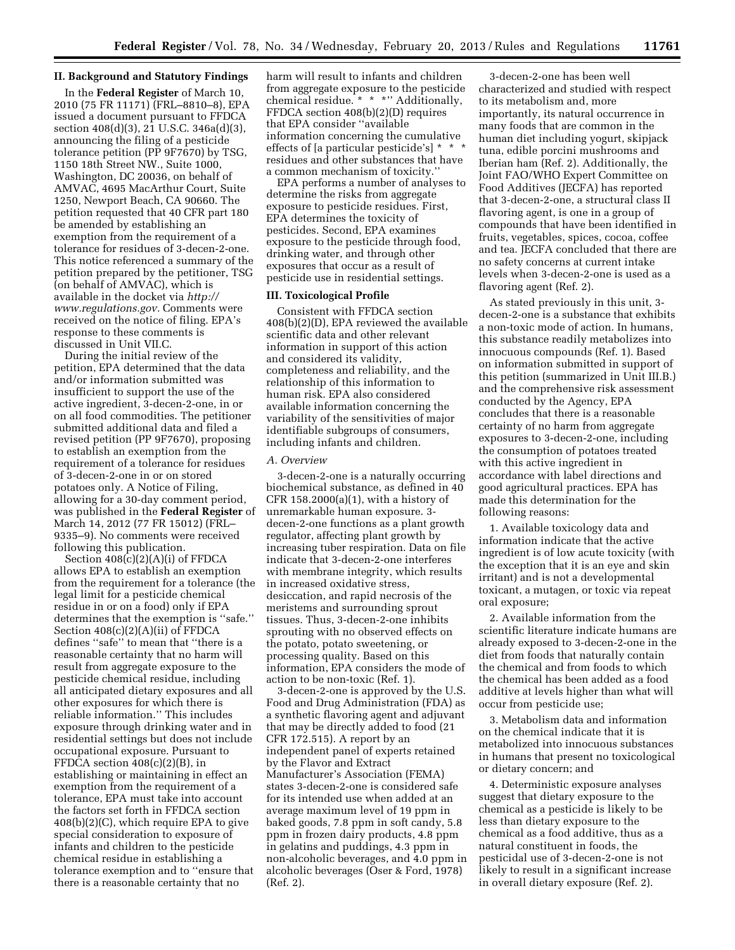# **II. Background and Statutory Findings**

In the **Federal Register** of March 10, 2010 (75 FR 11171) (FRL–8810–8), EPA issued a document pursuant to FFDCA section 408(d)(3), 21 U.S.C. 346a(d)(3), announcing the filing of a pesticide tolerance petition (PP 9F7670) by TSG, 1150 18th Street NW., Suite 1000, Washington, DC 20036, on behalf of AMVAC, 4695 MacArthur Court, Suite 1250, Newport Beach, CA 90660. The petition requested that 40 CFR part 180 be amended by establishing an exemption from the requirement of a tolerance for residues of 3-decen-2-one. This notice referenced a summary of the petition prepared by the petitioner, TSG (on behalf of AMVAC), which is available in the docket via *[http://](http://www.regulations.gov) [www.regulations.gov.](http://www.regulations.gov)* Comments were received on the notice of filing. EPA's response to these comments is discussed in Unit VII.C.

During the initial review of the petition, EPA determined that the data and/or information submitted was insufficient to support the use of the active ingredient, 3-decen-2-one, in or on all food commodities. The petitioner submitted additional data and filed a revised petition (PP 9F7670), proposing to establish an exemption from the requirement of a tolerance for residues of 3-decen-2-one in or on stored potatoes only. A Notice of Filing, allowing for a 30-day comment period, was published in the **Federal Register** of March 14, 2012 (77 FR 15012) (FRL– 9335–9). No comments were received following this publication.

Section  $408(c)(2)(A)(i)$  of FFDCA allows EPA to establish an exemption from the requirement for a tolerance (the legal limit for a pesticide chemical residue in or on a food) only if EPA determines that the exemption is ''safe.'' Section 408(c)(2)(A)(ii) of FFDCA defines ''safe'' to mean that ''there is a reasonable certainty that no harm will result from aggregate exposure to the pesticide chemical residue, including all anticipated dietary exposures and all other exposures for which there is reliable information.'' This includes exposure through drinking water and in residential settings but does not include occupational exposure. Pursuant to FFDCA section  $408(c)(2)(B)$ , in establishing or maintaining in effect an exemption from the requirement of a tolerance, EPA must take into account the factors set forth in FFDCA section 408(b)(2)(C), which require EPA to give special consideration to exposure of infants and children to the pesticide chemical residue in establishing a tolerance exemption and to ''ensure that there is a reasonable certainty that no

harm will result to infants and children from aggregate exposure to the pesticide chemical residue. \* \* \*'' Additionally, FFDCA section 408(b)(2)(D) requires that EPA consider ''available information concerning the cumulative effects of [a particular pesticide's] \* \* \* residues and other substances that have a common mechanism of toxicity.''

EPA performs a number of analyses to determine the risks from aggregate exposure to pesticide residues. First, EPA determines the toxicity of pesticides. Second, EPA examines exposure to the pesticide through food, drinking water, and through other exposures that occur as a result of pesticide use in residential settings.

# **III. Toxicological Profile**

Consistent with FFDCA section 408(b)(2)(D), EPA reviewed the available scientific data and other relevant information in support of this action and considered its validity, completeness and reliability, and the relationship of this information to human risk. EPA also considered available information concerning the variability of the sensitivities of major identifiable subgroups of consumers, including infants and children.

# *A. Overview*

3-decen-2-one is a naturally occurring biochemical substance, as defined in 40 CFR  $158.2000(a)(1)$ , with a history of unremarkable human exposure. 3 decen-2-one functions as a plant growth regulator, affecting plant growth by increasing tuber respiration. Data on file indicate that 3-decen-2-one interferes with membrane integrity, which results in increased oxidative stress, desiccation, and rapid necrosis of the meristems and surrounding sprout tissues. Thus, 3-decen-2-one inhibits sprouting with no observed effects on the potato, potato sweetening, or processing quality. Based on this information, EPA considers the mode of action to be non-toxic (Ref. 1).

3-decen-2-one is approved by the U.S. Food and Drug Administration (FDA) as a synthetic flavoring agent and adjuvant that may be directly added to food (21 CFR 172.515). A report by an independent panel of experts retained by the Flavor and Extract Manufacturer's Association (FEMA) states 3-decen-2-one is considered safe for its intended use when added at an average maximum level of 19 ppm in baked goods, 7.8 ppm in soft candy, 5.8 ppm in frozen dairy products, 4.8 ppm in gelatins and puddings, 4.3 ppm in non-alcoholic beverages, and 4.0 ppm in alcoholic beverages (Oser & Ford, 1978) (Ref. 2).

3-decen-2-one has been well characterized and studied with respect to its metabolism and, more importantly, its natural occurrence in many foods that are common in the human diet including yogurt, skipjack tuna, edible porcini mushrooms and Iberian ham (Ref. 2). Additionally, the Joint FAO/WHO Expert Committee on Food Additives (JECFA) has reported that 3-decen-2-one, a structural class II flavoring agent, is one in a group of compounds that have been identified in fruits, vegetables, spices, cocoa, coffee and tea. JECFA concluded that there are no safety concerns at current intake levels when 3-decen-2-one is used as a flavoring agent (Ref. 2).

As stated previously in this unit, 3 decen-2-one is a substance that exhibits a non-toxic mode of action. In humans, this substance readily metabolizes into innocuous compounds (Ref. 1). Based on information submitted in support of this petition (summarized in Unit III.B.) and the comprehensive risk assessment conducted by the Agency, EPA concludes that there is a reasonable certainty of no harm from aggregate exposures to 3-decen-2-one, including the consumption of potatoes treated with this active ingredient in accordance with label directions and good agricultural practices. EPA has made this determination for the following reasons:

1. Available toxicology data and information indicate that the active ingredient is of low acute toxicity (with the exception that it is an eye and skin irritant) and is not a developmental toxicant, a mutagen, or toxic via repeat oral exposure;

2. Available information from the scientific literature indicate humans are already exposed to 3-decen-2-one in the diet from foods that naturally contain the chemical and from foods to which the chemical has been added as a food additive at levels higher than what will occur from pesticide use;

3. Metabolism data and information on the chemical indicate that it is metabolized into innocuous substances in humans that present no toxicological or dietary concern; and

4. Deterministic exposure analyses suggest that dietary exposure to the chemical as a pesticide is likely to be less than dietary exposure to the chemical as a food additive, thus as a natural constituent in foods, the pesticidal use of 3-decen-2-one is not likely to result in a significant increase in overall dietary exposure (Ref. 2).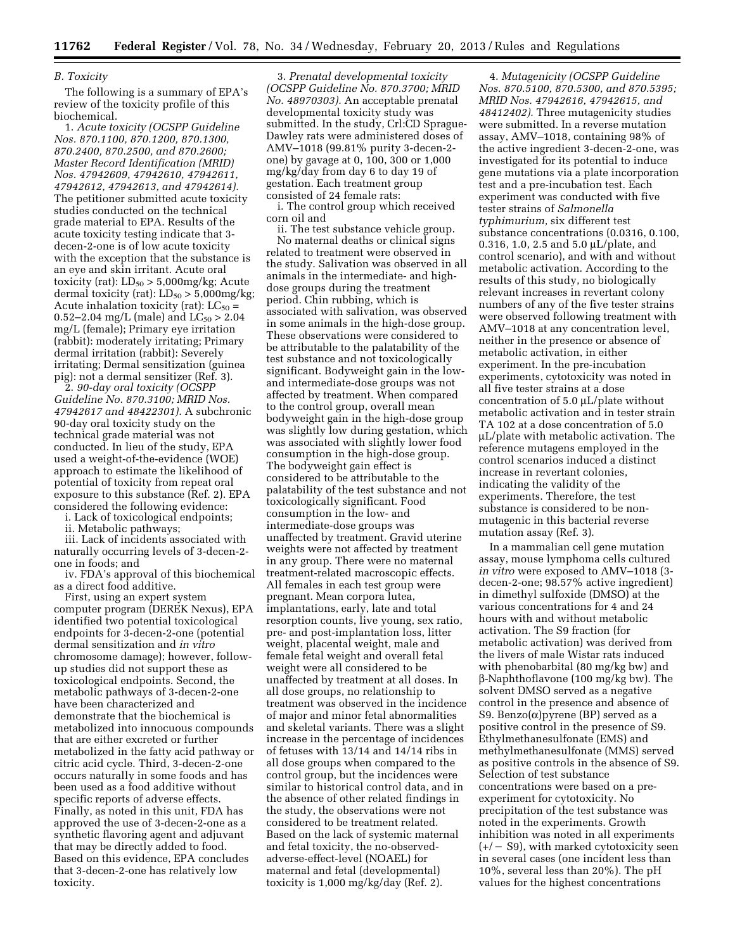### *B. Toxicity*

The following is a summary of EPA's review of the toxicity profile of this biochemical.

1. *Acute toxicity (OCSPP Guideline Nos. 870.1100, 870.1200, 870.1300, 870.2400, 870.2500, and 870.2600; Master Record Identification (MRID) Nos. 47942609, 47942610, 47942611, 47942612, 47942613, and 47942614).*  The petitioner submitted acute toxicity studies conducted on the technical grade material to EPA. Results of the acute toxicity testing indicate that 3 decen-2-one is of low acute toxicity with the exception that the substance is an eye and skin irritant. Acute oral toxicity (rat):  $LD_{50} > 5,000$ mg/kg; Acute dermal toxicity (rat):  $LD_{50} > 5,000$ mg/kg; Acute inhalation toxicity (rat):  $LC_{50}$  = 0.52–2.04 mg/L (male) and  $LC_{50} > 2.04$ mg/L (female); Primary eye irritation (rabbit): moderately irritating; Primary dermal irritation (rabbit): Severely irritating; Dermal sensitization (guinea pig): not a dermal sensitizer (Ref. 3).

2. *90-day oral toxicity (OCSPP Guideline No. 870.3100; MRID Nos. 47942617 and 48422301).* A subchronic 90-day oral toxicity study on the technical grade material was not conducted. In lieu of the study, EPA used a weight-of-the-evidence (WOE) approach to estimate the likelihood of potential of toxicity from repeat oral exposure to this substance (Ref. 2). EPA considered the following evidence:

i. Lack of toxicological endpoints;

ii. Metabolic pathways;

iii. Lack of incidents associated with naturally occurring levels of 3-decen-2 one in foods; and

iv. FDA's approval of this biochemical as a direct food additive.

First, using an expert system computer program (DEREK Nexus), EPA identified two potential toxicological endpoints for 3-decen-2-one (potential dermal sensitization and *in vitro*  chromosome damage); however, followup studies did not support these as toxicological endpoints. Second, the metabolic pathways of 3-decen-2-one have been characterized and demonstrate that the biochemical is metabolized into innocuous compounds that are either excreted or further metabolized in the fatty acid pathway or citric acid cycle. Third, 3-decen-2-one occurs naturally in some foods and has been used as a food additive without specific reports of adverse effects. Finally, as noted in this unit, FDA has approved the use of 3-decen-2-one as a synthetic flavoring agent and adjuvant that may be directly added to food. Based on this evidence, EPA concludes that 3-decen-2-one has relatively low toxicity.

3. *Prenatal developmental toxicity (OCSPP Guideline No. 870.3700; MRID No. 48970303).* An acceptable prenatal developmental toxicity study was submitted. In the study, Crl:CD Sprague-Dawley rats were administered doses of AMV–1018 (99.81% purity 3-decen-2 one) by gavage at 0, 100, 300 or 1,000 mg/kg/day from day 6 to day 19 of gestation. Each treatment group consisted of 24 female rats:

i. The control group which received corn oil and

ii. The test substance vehicle group. No maternal deaths or clinical signs related to treatment were observed in the study. Salivation was observed in all animals in the intermediate- and highdose groups during the treatment period. Chin rubbing, which is associated with salivation, was observed in some animals in the high-dose group. These observations were considered to be attributable to the palatability of the test substance and not toxicologically significant. Bodyweight gain in the lowand intermediate-dose groups was not affected by treatment. When compared to the control group, overall mean bodyweight gain in the high-dose group was slightly low during gestation, which was associated with slightly lower food consumption in the high-dose group. The bodyweight gain effect is considered to be attributable to the palatability of the test substance and not toxicologically significant. Food consumption in the low- and intermediate-dose groups was unaffected by treatment. Gravid uterine weights were not affected by treatment in any group. There were no maternal treatment-related macroscopic effects. All females in each test group were pregnant. Mean corpora lutea, implantations, early, late and total resorption counts, live young, sex ratio, pre- and post-implantation loss, litter weight, placental weight, male and female fetal weight and overall fetal weight were all considered to be unaffected by treatment at all doses. In all dose groups, no relationship to treatment was observed in the incidence of major and minor fetal abnormalities and skeletal variants. There was a slight increase in the percentage of incidences of fetuses with 13/14 and 14/14 ribs in all dose groups when compared to the control group, but the incidences were similar to historical control data, and in the absence of other related findings in the study, the observations were not considered to be treatment related. Based on the lack of systemic maternal and fetal toxicity, the no-observedadverse-effect-level (NOAEL) for maternal and fetal (developmental) toxicity is 1,000 mg/kg/day (Ref. 2).

4. *Mutagenicity (OCSPP Guideline Nos. 870.5100, 870.5300, and 870.5395; MRID Nos. 47942616, 47942615, and 48412402).* Three mutagenicity studies were submitted. In a reverse mutation assay, AMV–1018, containing 98% of the active ingredient 3-decen-2-one, was investigated for its potential to induce gene mutations via a plate incorporation test and a pre-incubation test. Each experiment was conducted with five tester strains of *Salmonella typhimurium,* six different test substance concentrations (0.0316, 0.100, 0.316, 1.0, 2.5 and  $5.0 \mu L$ /plate, and control scenario), and with and without metabolic activation. According to the results of this study, no biologically relevant increases in revertant colony numbers of any of the five tester strains were observed following treatment with AMV–1018 at any concentration level, neither in the presence or absence of metabolic activation, in either experiment. In the pre-incubation experiments, cytotoxicity was noted in all five tester strains at a dose concentration of  $5.0 \mu L$ /plate without metabolic activation and in tester strain TA 102 at a dose concentration of 5.0 mL/plate with metabolic activation. The reference mutagens employed in the control scenarios induced a distinct increase in revertant colonies, indicating the validity of the experiments. Therefore, the test substance is considered to be nonmutagenic in this bacterial reverse mutation assay (Ref. 3).

In a mammalian cell gene mutation assay, mouse lymphoma cells cultured *in vitro* were exposed to AMV–1018 (3 decen-2-one; 98.57% active ingredient) in dimethyl sulfoxide (DMSO) at the various concentrations for 4 and 24 hours with and without metabolic activation. The S9 fraction (for metabolic activation) was derived from the livers of male Wistar rats induced with phenobarbital (80 mg/kg bw) and  $β$ -Naphthoflavone (100 mg/kg bw). The solvent DMSO served as a negative control in the presence and absence of S9. Benzo( $\alpha$ ) pyrene (BP) served as a positive control in the presence of S9. Ethylmethanesulfonate (EMS) and methylmethanesulfonate (MMS) served as positive controls in the absence of S9. Selection of test substance concentrations were based on a preexperiment for cytotoxicity. No precipitation of the test substance was noted in the experiments. Growth inhibition was noted in all experiments  $(+/- S9)$ , with marked cytotoxicity seen in several cases (one incident less than 10%, several less than 20%). The pH values for the highest concentrations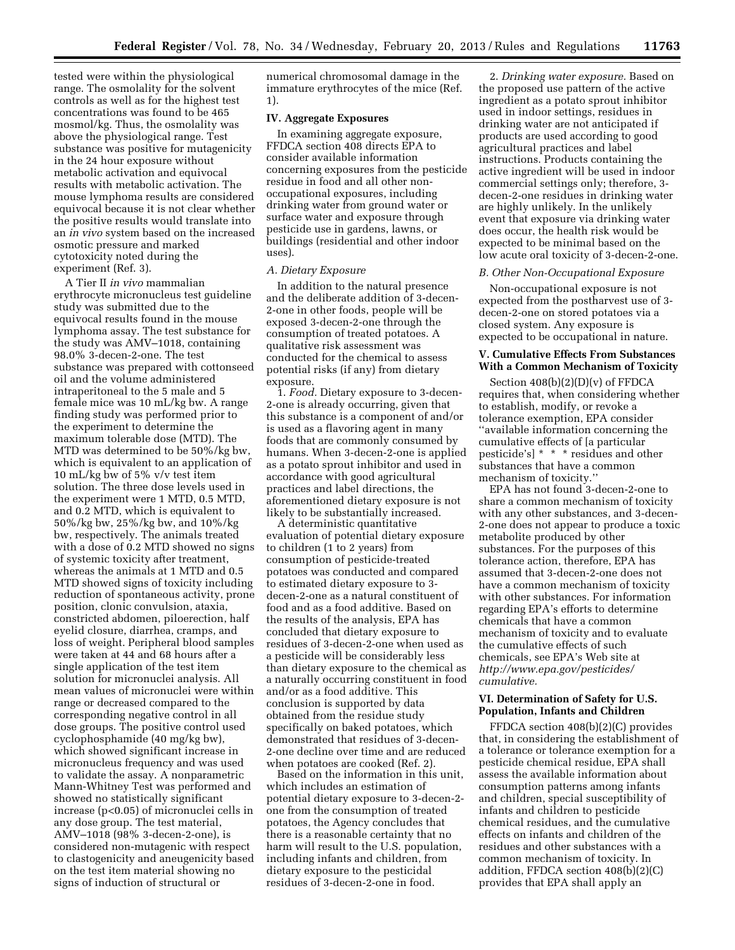tested were within the physiological range. The osmolality for the solvent controls as well as for the highest test concentrations was found to be 465 mosmol/kg. Thus, the osmolality was above the physiological range. Test substance was positive for mutagenicity in the 24 hour exposure without metabolic activation and equivocal results with metabolic activation. The mouse lymphoma results are considered equivocal because it is not clear whether the positive results would translate into an *in vivo* system based on the increased osmotic pressure and marked cytotoxicity noted during the experiment (Ref. 3).

A Tier II *in vivo* mammalian erythrocyte micronucleus test guideline study was submitted due to the equivocal results found in the mouse lymphoma assay. The test substance for the study was AMV–1018, containing 98.0% 3-decen-2-one. The test substance was prepared with cottonseed oil and the volume administered intraperitoneal to the 5 male and 5 female mice was 10 mL/kg bw. A range finding study was performed prior to the experiment to determine the maximum tolerable dose (MTD). The MTD was determined to be 50%/kg bw, which is equivalent to an application of 10 mL/kg bw of 5% v/v test item solution. The three dose levels used in the experiment were 1 MTD, 0.5 MTD, and 0.2 MTD, which is equivalent to 50%/kg bw, 25%/kg bw, and 10%/kg bw, respectively. The animals treated with a dose of 0.2 MTD showed no signs of systemic toxicity after treatment, whereas the animals at 1 MTD and 0.5 MTD showed signs of toxicity including reduction of spontaneous activity, prone position, clonic convulsion, ataxia, constricted abdomen, piloerection, half eyelid closure, diarrhea, cramps, and loss of weight. Peripheral blood samples were taken at 44 and 68 hours after a single application of the test item solution for micronuclei analysis. All mean values of micronuclei were within range or decreased compared to the corresponding negative control in all dose groups. The positive control used cyclophosphamide (40 mg/kg bw), which showed significant increase in micronucleus frequency and was used to validate the assay. A nonparametric Mann-Whitney Test was performed and showed no statistically significant increase (p<0.05) of micronuclei cells in any dose group. The test material, AMV–1018 (98% 3-decen-2-one), is considered non-mutagenic with respect to clastogenicity and aneugenicity based on the test item material showing no signs of induction of structural or

numerical chromosomal damage in the immature erythrocytes of the mice (Ref. 1).

### **IV. Aggregate Exposures**

In examining aggregate exposure, FFDCA section 408 directs EPA to consider available information concerning exposures from the pesticide residue in food and all other nonoccupational exposures, including drinking water from ground water or surface water and exposure through pesticide use in gardens, lawns, or buildings (residential and other indoor uses).

#### *A. Dietary Exposure*

In addition to the natural presence and the deliberate addition of 3-decen-2-one in other foods, people will be exposed 3-decen-2-one through the consumption of treated potatoes. A qualitative risk assessment was conducted for the chemical to assess potential risks (if any) from dietary exposure.

1. *Food.* Dietary exposure to 3-decen-2-one is already occurring, given that this substance is a component of and/or is used as a flavoring agent in many foods that are commonly consumed by humans. When 3-decen-2-one is applied as a potato sprout inhibitor and used in accordance with good agricultural practices and label directions, the aforementioned dietary exposure is not likely to be substantially increased.

A deterministic quantitative evaluation of potential dietary exposure to children (1 to 2 years) from consumption of pesticide-treated potatoes was conducted and compared to estimated dietary exposure to 3 decen-2-one as a natural constituent of food and as a food additive. Based on the results of the analysis, EPA has concluded that dietary exposure to residues of 3-decen-2-one when used as a pesticide will be considerably less than dietary exposure to the chemical as a naturally occurring constituent in food and/or as a food additive. This conclusion is supported by data obtained from the residue study specifically on baked potatoes, which demonstrated that residues of 3-decen-2-one decline over time and are reduced when potatoes are cooked (Ref. 2).

Based on the information in this unit, which includes an estimation of potential dietary exposure to 3-decen-2 one from the consumption of treated potatoes, the Agency concludes that there is a reasonable certainty that no harm will result to the U.S. population, including infants and children, from dietary exposure to the pesticidal residues of 3-decen-2-one in food.

2. *Drinking water exposure.* Based on the proposed use pattern of the active ingredient as a potato sprout inhibitor used in indoor settings, residues in drinking water are not anticipated if products are used according to good agricultural practices and label instructions. Products containing the active ingredient will be used in indoor commercial settings only; therefore, 3 decen-2-one residues in drinking water are highly unlikely. In the unlikely event that exposure via drinking water does occur, the health risk would be expected to be minimal based on the low acute oral toxicity of 3-decen-2-one.

#### *B. Other Non-Occupational Exposure*

Non-occupational exposure is not expected from the postharvest use of 3 decen-2-one on stored potatoes via a closed system. Any exposure is expected to be occupational in nature.

# **V. Cumulative Effects From Substances With a Common Mechanism of Toxicity**

Section 408(b)(2)(D)(v) of FFDCA requires that, when considering whether to establish, modify, or revoke a tolerance exemption, EPA consider ''available information concerning the cumulative effects of [a particular pesticide's] \* \* \* residues and other substances that have a common mechanism of toxicity.''

EPA has not found 3-decen-2-one to share a common mechanism of toxicity with any other substances, and 3-decen-2-one does not appear to produce a toxic metabolite produced by other substances. For the purposes of this tolerance action, therefore, EPA has assumed that 3-decen-2-one does not have a common mechanism of toxicity with other substances. For information regarding EPA's efforts to determine chemicals that have a common mechanism of toxicity and to evaluate the cumulative effects of such chemicals, see EPA's Web site at *[http://www.epa.gov/pesticides/](http://www.epa.gov/pesticides/cumulative) [cumulative.](http://www.epa.gov/pesticides/cumulative)* 

## **VI. Determination of Safety for U.S. Population, Infants and Children**

FFDCA section 408(b)(2)(C) provides that, in considering the establishment of a tolerance or tolerance exemption for a pesticide chemical residue, EPA shall assess the available information about consumption patterns among infants and children, special susceptibility of infants and children to pesticide chemical residues, and the cumulative effects on infants and children of the residues and other substances with a common mechanism of toxicity. In addition, FFDCA section 408(b)(2)(C) provides that EPA shall apply an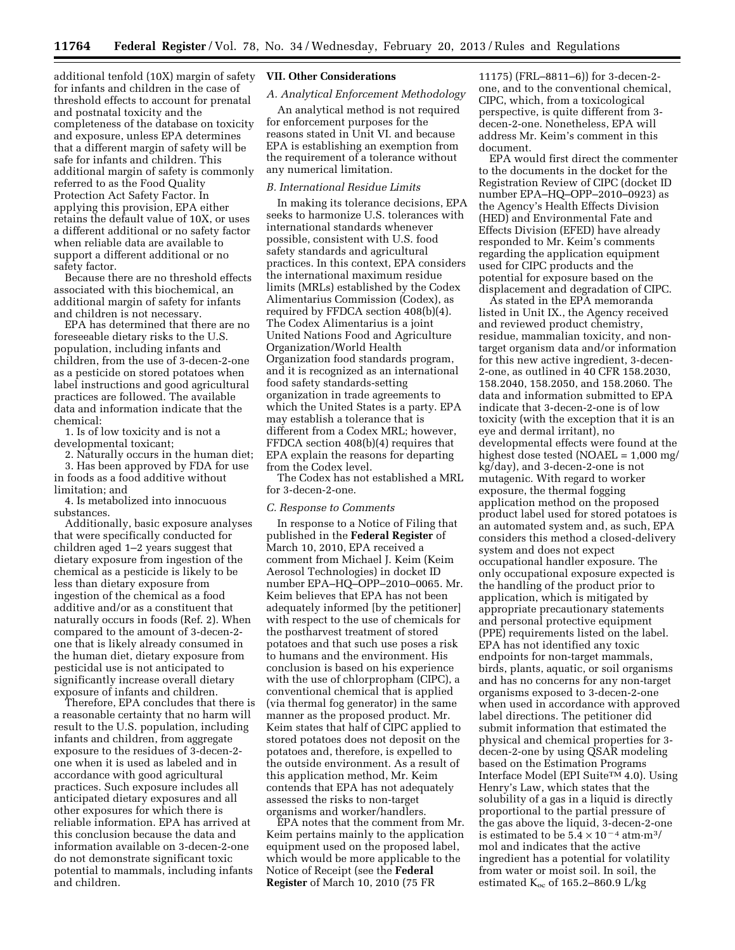additional tenfold (10X) margin of safety for infants and children in the case of threshold effects to account for prenatal and postnatal toxicity and the completeness of the database on toxicity and exposure, unless EPA determines that a different margin of safety will be safe for infants and children. This additional margin of safety is commonly referred to as the Food Quality Protection Act Safety Factor. In applying this provision, EPA either retains the default value of 10X, or uses a different additional or no safety factor when reliable data are available to support a different additional or no safety factor.

Because there are no threshold effects associated with this biochemical, an additional margin of safety for infants and children is not necessary.

EPA has determined that there are no foreseeable dietary risks to the U.S. population, including infants and children, from the use of 3-decen-2-one as a pesticide on stored potatoes when label instructions and good agricultural practices are followed. The available data and information indicate that the chemical:

1. Is of low toxicity and is not a developmental toxicant;

2. Naturally occurs in the human diet; 3. Has been approved by FDA for use in foods as a food additive without limitation; and

4. Is metabolized into innocuous substances.

Additionally, basic exposure analyses that were specifically conducted for children aged 1–2 years suggest that dietary exposure from ingestion of the chemical as a pesticide is likely to be less than dietary exposure from ingestion of the chemical as a food additive and/or as a constituent that naturally occurs in foods (Ref. 2). When compared to the amount of 3-decen-2 one that is likely already consumed in the human diet, dietary exposure from pesticidal use is not anticipated to significantly increase overall dietary exposure of infants and children.

Therefore, EPA concludes that there is a reasonable certainty that no harm will result to the U.S. population, including infants and children, from aggregate exposure to the residues of 3-decen-2 one when it is used as labeled and in accordance with good agricultural practices. Such exposure includes all anticipated dietary exposures and all other exposures for which there is reliable information. EPA has arrived at this conclusion because the data and information available on 3-decen-2-one do not demonstrate significant toxic potential to mammals, including infants and children.

# **VII. Other Considerations**

# *A. Analytical Enforcement Methodology*

An analytical method is not required for enforcement purposes for the reasons stated in Unit VI. and because EPA is establishing an exemption from the requirement of a tolerance without any numerical limitation.

### *B. International Residue Limits*

In making its tolerance decisions, EPA seeks to harmonize U.S. tolerances with international standards whenever possible, consistent with U.S. food safety standards and agricultural practices. In this context, EPA considers the international maximum residue limits (MRLs) established by the Codex Alimentarius Commission (Codex), as required by FFDCA section 408(b)(4). The Codex Alimentarius is a joint United Nations Food and Agriculture Organization/World Health Organization food standards program, and it is recognized as an international food safety standards-setting organization in trade agreements to which the United States is a party. EPA may establish a tolerance that is different from a Codex MRL; however, FFDCA section 408(b)(4) requires that EPA explain the reasons for departing from the Codex level.

The Codex has not established a MRL for 3-decen-2-one.

#### *C. Response to Comments*

In response to a Notice of Filing that published in the **Federal Register** of March 10, 2010, EPA received a comment from Michael J. Keim (Keim Aerosol Technologies) in docket ID number EPA–HQ–OPP–2010–0065. Mr. Keim believes that EPA has not been adequately informed [by the petitioner] with respect to the use of chemicals for the postharvest treatment of stored potatoes and that such use poses a risk to humans and the environment. His conclusion is based on his experience with the use of chlorpropham (CIPC), a conventional chemical that is applied (via thermal fog generator) in the same manner as the proposed product. Mr. Keim states that half of CIPC applied to stored potatoes does not deposit on the potatoes and, therefore, is expelled to the outside environment. As a result of this application method, Mr. Keim contends that EPA has not adequately assessed the risks to non-target organisms and worker/handlers.

EPA notes that the comment from Mr. Keim pertains mainly to the application equipment used on the proposed label, which would be more applicable to the Notice of Receipt (see the **Federal Register** of March 10, 2010 (75 FR

11175) (FRL–8811–6)) for 3-decen-2 one, and to the conventional chemical, CIPC, which, from a toxicological perspective, is quite different from 3 decen-2-one. Nonetheless, EPA will address Mr. Keim's comment in this document.

EPA would first direct the commenter to the documents in the docket for the Registration Review of CIPC (docket ID number EPA–HQ–OPP–2010–0923) as the Agency's Health Effects Division (HED) and Environmental Fate and Effects Division (EFED) have already responded to Mr. Keim's comments regarding the application equipment used for CIPC products and the potential for exposure based on the displacement and degradation of CIPC.

As stated in the EPA memoranda listed in Unit IX., the Agency received and reviewed product chemistry, residue, mammalian toxicity, and nontarget organism data and/or information for this new active ingredient, 3-decen-2-one, as outlined in 40 CFR 158.2030, 158.2040, 158.2050, and 158.2060. The data and information submitted to EPA indicate that 3-decen-2-one is of low toxicity (with the exception that it is an eye and dermal irritant), no developmental effects were found at the highest dose tested (NOAEL = 1,000 mg/ kg/day), and 3-decen-2-one is not mutagenic. With regard to worker exposure, the thermal fogging application method on the proposed product label used for stored potatoes is an automated system and, as such, EPA considers this method a closed-delivery system and does not expect occupational handler exposure. The only occupational exposure expected is the handling of the product prior to application, which is mitigated by appropriate precautionary statements and personal protective equipment (PPE) requirements listed on the label. EPA has not identified any toxic endpoints for non-target mammals, birds, plants, aquatic, or soil organisms and has no concerns for any non-target organisms exposed to 3-decen-2-one when used in accordance with approved label directions. The petitioner did submit information that estimated the physical and chemical properties for 3 decen-2-one by using QSAR modeling based on the Estimation Programs Interface Model (EPI SuiteTM 4.0). Using Henry's Law, which states that the solubility of a gas in a liquid is directly proportional to the partial pressure of the gas above the liquid, 3-decen-2-one is estimated to be  $5.4 \times 10^{-4}$  atm·m<sup>3</sup>/ mol and indicates that the active ingredient has a potential for volatility from water or moist soil. In soil, the estimated  $K_{oc}$  of 165.2–860.9 L/kg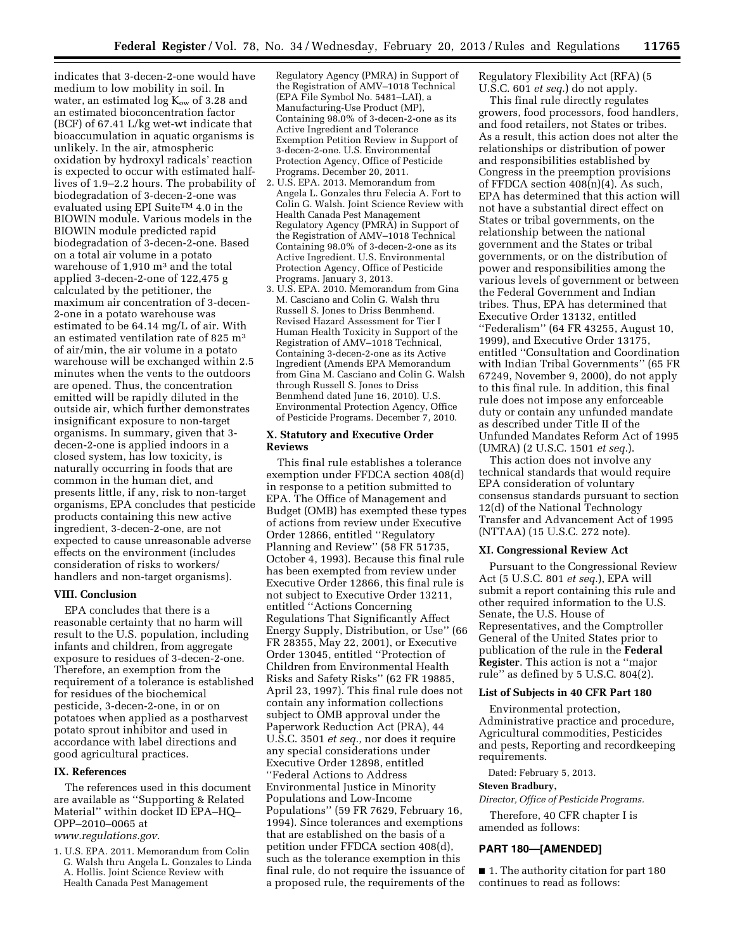indicates that 3-decen-2-one would have medium to low mobility in soil. In water, an estimated  $log K_{ow}$  of 3.28 and an estimated bioconcentration factor (BCF) of 67.41 L/kg wet-wt indicate that bioaccumulation in aquatic organisms is unlikely. In the air, atmospheric oxidation by hydroxyl radicals' reaction is expected to occur with estimated halflives of 1.9–2.2 hours. The probability of biodegradation of 3-decen-2-one was evaluated using EPI SuiteTM 4.0 in the BIOWIN module. Various models in the BIOWIN module predicted rapid biodegradation of 3-decen-2-one. Based on a total air volume in a potato warehouse of 1,910 m3 and the total applied 3-decen-2-one of 122,475 g calculated by the petitioner, the maximum air concentration of 3-decen-2-one in a potato warehouse was estimated to be 64.14 mg/L of air. With an estimated ventilation rate of 825 m3 of air/min, the air volume in a potato warehouse will be exchanged within 2.5 minutes when the vents to the outdoors are opened. Thus, the concentration emitted will be rapidly diluted in the outside air, which further demonstrates insignificant exposure to non-target organisms. In summary, given that 3 decen-2-one is applied indoors in a closed system, has low toxicity, is naturally occurring in foods that are common in the human diet, and presents little, if any, risk to non-target organisms, EPA concludes that pesticide products containing this new active ingredient, 3-decen-2-one, are not expected to cause unreasonable adverse effects on the environment (includes consideration of risks to workers/ handlers and non-target organisms).

## **VIII. Conclusion**

EPA concludes that there is a reasonable certainty that no harm will result to the U.S. population, including infants and children, from aggregate exposure to residues of 3-decen-2-one. Therefore, an exemption from the requirement of a tolerance is established for residues of the biochemical pesticide, 3-decen-2-one, in or on potatoes when applied as a postharvest potato sprout inhibitor and used in accordance with label directions and good agricultural practices.

# **IX. References**

The references used in this document are available as ''Supporting & Related Material'' within docket ID EPA–HQ– OPP–2010–0065 at

*[www.regulations.gov.](http://www.regulations.gov)* 

1. U.S. EPA. 2011. Memorandum from Colin G. Walsh thru Angela L. Gonzales to Linda A. Hollis. Joint Science Review with Health Canada Pest Management

Regulatory Agency (PMRA) in Support of the Registration of AMV–1018 Technical (EPA File Symbol No. 5481–LAI), a Manufacturing-Use Product (MP), Containing 98.0% of 3-decen-2-one as its Active Ingredient and Tolerance Exemption Petition Review in Support of 3-decen-2-one. U.S. Environmental Protection Agency, Office of Pesticide Programs. December 20, 2011.

- 2. U.S. EPA. 2013. Memorandum from Angela L. Gonzales thru Felecia A. Fort to Colin G. Walsh. Joint Science Review with Health Canada Pest Management Regulatory Agency (PMRA) in Support of the Registration of AMV–1018 Technical Containing 98.0% of 3-decen-2-one as its Active Ingredient. U.S. Environmental Protection Agency, Office of Pesticide Programs. January 3, 2013.
- 3. U.S. EPA. 2010. Memorandum from Gina M. Casciano and Colin G. Walsh thru Russell S. Jones to Driss Benmhend. Revised Hazard Assessment for Tier I Human Health Toxicity in Support of the Registration of AMV–1018 Technical, Containing 3-decen-2-one as its Active Ingredient (Amends EPA Memorandum from Gina M. Casciano and Colin G. Walsh through Russell S. Jones to Driss Benmhend dated June 16, 2010). U.S. Environmental Protection Agency, Office of Pesticide Programs. December 7, 2010.

### **X. Statutory and Executive Order Reviews**

This final rule establishes a tolerance exemption under FFDCA section 408(d) in response to a petition submitted to EPA. The Office of Management and Budget (OMB) has exempted these types of actions from review under Executive Order 12866, entitled ''Regulatory Planning and Review'' (58 FR 51735, October 4, 1993). Because this final rule has been exempted from review under Executive Order 12866, this final rule is not subject to Executive Order 13211, entitled ''Actions Concerning Regulations That Significantly Affect Energy Supply, Distribution, or Use'' (66 FR 28355, May 22, 2001), or Executive Order 13045, entitled ''Protection of Children from Environmental Health Risks and Safety Risks'' (62 FR 19885, April 23, 1997). This final rule does not contain any information collections subject to OMB approval under the Paperwork Reduction Act (PRA), 44 U.S.C. 3501 *et seq.,* nor does it require any special considerations under Executive Order 12898, entitled ''Federal Actions to Address Environmental Justice in Minority Populations and Low-Income Populations'' (59 FR 7629, February 16, 1994). Since tolerances and exemptions that are established on the basis of a petition under FFDCA section 408(d), such as the tolerance exemption in this final rule, do not require the issuance of a proposed rule, the requirements of the

Regulatory Flexibility Act (RFA) (5 U.S.C. 601 *et seq.*) do not apply.

This final rule directly regulates growers, food processors, food handlers, and food retailers, not States or tribes. As a result, this action does not alter the relationships or distribution of power and responsibilities established by Congress in the preemption provisions of FFDCA section 408(n)(4). As such, EPA has determined that this action will not have a substantial direct effect on States or tribal governments, on the relationship between the national government and the States or tribal governments, or on the distribution of power and responsibilities among the various levels of government or between the Federal Government and Indian tribes. Thus, EPA has determined that Executive Order 13132, entitled ''Federalism'' (64 FR 43255, August 10, 1999), and Executive Order 13175, entitled ''Consultation and Coordination with Indian Tribal Governments'' (65 FR 67249, November 9, 2000), do not apply to this final rule. In addition, this final rule does not impose any enforceable duty or contain any unfunded mandate as described under Title II of the Unfunded Mandates Reform Act of 1995 (UMRA) (2 U.S.C. 1501 *et seq.*).

This action does not involve any technical standards that would require EPA consideration of voluntary consensus standards pursuant to section 12(d) of the National Technology Transfer and Advancement Act of 1995 (NTTAA) (15 U.S.C. 272 note).

#### **XI. Congressional Review Act**

Pursuant to the Congressional Review Act (5 U.S.C. 801 *et seq.*), EPA will submit a report containing this rule and other required information to the U.S. Senate, the U.S. House of Representatives, and the Comptroller General of the United States prior to publication of the rule in the **Federal Register**. This action is not a ''major rule'' as defined by 5 U.S.C. 804(2).

#### **List of Subjects in 40 CFR Part 180**

Environmental protection, Administrative practice and procedure, Agricultural commodities, Pesticides and pests, Reporting and recordkeeping requirements.

Dated: February 5, 2013.

**Steven Bradbury,** 

*Director, Office of Pesticide Programs.* 

Therefore, 40 CFR chapter I is amended as follows:

# **PART 180—[AMENDED]**

■ 1. The authority citation for part 180 continues to read as follows: